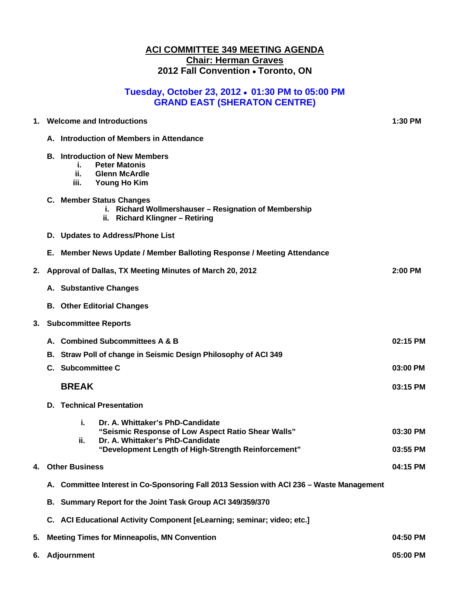### **ACI COMMITTEE 349 MEETING AGENDA Chair: Herman Graves 2012 Fall Convention Toronto, ON**

## **Tuesday, October 23, 2012 01:30 PM to 05:00 PM GRAND EAST (SHERATON CENTRE)**

| 1. |                                                     | <b>Welcome and Introductions</b>                                                                                                        | 1:30 PM  |
|----|-----------------------------------------------------|-----------------------------------------------------------------------------------------------------------------------------------------|----------|
|    |                                                     | A. Introduction of Members in Attendance                                                                                                |          |
|    |                                                     | <b>B.</b> Introduction of New Members<br><b>Peter Matonis</b><br>ī.<br><b>Glenn McArdle</b><br>ii.<br><b>Young Ho Kim</b><br>iii.       |          |
|    |                                                     | C. Member Status Changes<br>i. Richard Wollmershauser - Resignation of Membership<br>ii. Richard Klingner - Retiring                    |          |
|    |                                                     | D. Updates to Address/Phone List                                                                                                        |          |
|    |                                                     | E. Member News Update / Member Balloting Response / Meeting Attendance                                                                  |          |
| 2. |                                                     | Approval of Dallas, TX Meeting Minutes of March 20, 2012                                                                                | 2:00 PM  |
|    |                                                     | A. Substantive Changes                                                                                                                  |          |
|    |                                                     | <b>B. Other Editorial Changes</b>                                                                                                       |          |
| 3. |                                                     | <b>Subcommittee Reports</b>                                                                                                             |          |
|    |                                                     | A. Combined Subcommittees A & B                                                                                                         | 02:15 PM |
|    |                                                     | B. Straw Poll of change in Seismic Design Philosophy of ACI 349                                                                         |          |
|    |                                                     | C. Subcommittee C                                                                                                                       | 03:00 PM |
|    |                                                     | <b>BREAK</b>                                                                                                                            | 03:15 PM |
|    | D.                                                  | <b>Technical Presentation</b>                                                                                                           |          |
|    |                                                     | j.<br>Dr. A. Whittaker's PhD-Candidate<br>"Seismic Response of Low Aspect Ratio Shear Walls"<br>Dr. A. Whittaker's PhD-Candidate<br>ii. | 03:30 PM |
|    |                                                     | "Development Length of High-Strength Reinforcement"                                                                                     | 03:55 PM |
| 4. |                                                     | <b>Other Business</b>                                                                                                                   | 04:15 PM |
|    |                                                     | A. Committee Interest in Co-Sponsoring Fall 2013 Session with ACI 236 - Waste Management                                                |          |
|    |                                                     | B. Summary Report for the Joint Task Group ACI 349/359/370                                                                              |          |
|    |                                                     | C. ACI Educational Activity Component [eLearning; seminar; video; etc.]                                                                 |          |
| 5. | <b>Meeting Times for Minneapolis, MN Convention</b> |                                                                                                                                         |          |
| 6. |                                                     | <b>Adjournment</b>                                                                                                                      | 05:00 PM |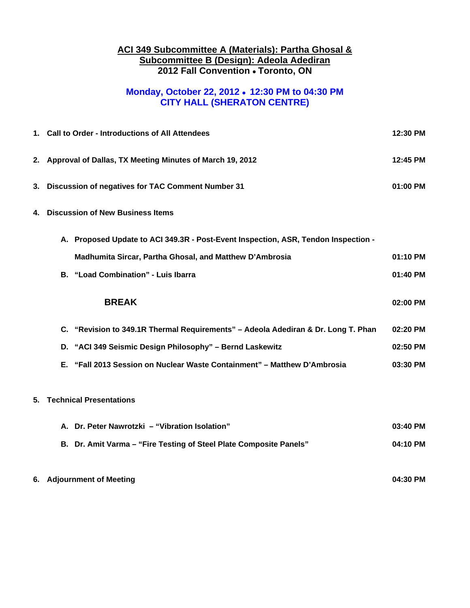#### **ACI 349 Subcommittee A (Materials): Partha Ghosal & Subcommittee B (Design): Adeola Adediran 2012 Fall Convention Toronto, ON**

# **Monday, October 22, 2012 12:30 PM to 04:30 PM CITY HALL (SHERATON CENTRE)**

|                                               | 1. Call to Order - Introductions of All Attendees                                  | 12:30 PM |  |  |  |
|-----------------------------------------------|------------------------------------------------------------------------------------|----------|--|--|--|
|                                               | 2. Approval of Dallas, TX Meeting Minutes of March 19, 2012                        |          |  |  |  |
| 3.                                            | Discussion of negatives for TAC Comment Number 31                                  |          |  |  |  |
| <b>Discussion of New Business Items</b><br>4. |                                                                                    |          |  |  |  |
|                                               | A. Proposed Update to ACI 349.3R - Post-Event Inspection, ASR, Tendon Inspection - |          |  |  |  |
|                                               | Madhumita Sircar, Partha Ghosal, and Matthew D'Ambrosia                            | 01:10 PM |  |  |  |
|                                               | B. "Load Combination" - Luis Ibarra                                                | 01:40 PM |  |  |  |
|                                               | <b>BREAK</b>                                                                       | 02:00 PM |  |  |  |
|                                               | C. "Revision to 349.1R Thermal Requirements" - Adeola Adediran & Dr. Long T. Phan  | 02:20 PM |  |  |  |
|                                               | D. "ACI 349 Seismic Design Philosophy" - Bernd Laskewitz                           | 02:50 PM |  |  |  |
|                                               | E. "Fall 2013 Session on Nuclear Waste Containment" - Matthew D'Ambrosia           | 03:30 PM |  |  |  |
| 5.                                            | <b>Technical Presentations</b>                                                     |          |  |  |  |
|                                               | A. Dr. Peter Nawrotzki - "Vibration Isolation"                                     | 03:40 PM |  |  |  |
|                                               | B. Dr. Amit Varma - "Fire Testing of Steel Plate Composite Panels"                 | 04:10 PM |  |  |  |
|                                               | 6. Adjournment of Meeting                                                          | 04:30 PM |  |  |  |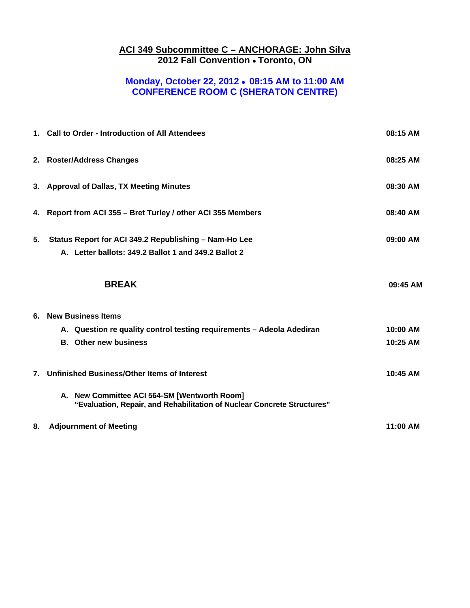#### **ACI 349 Subcommittee C – ANCHORAGE: John Silva 2012 Fall Convention Toronto, ON**

## **Monday, October 22, 2012 08:15 AM to 11:00 AM CONFERENCE ROOM C (SHERATON CENTRE)**

|    | 1. Call to Order - Introduction of All Attendees                                                                        | 08:15 AM |
|----|-------------------------------------------------------------------------------------------------------------------------|----------|
|    | 2. Roster/Address Changes                                                                                               | 08:25 AM |
|    | 3. Approval of Dallas, TX Meeting Minutes                                                                               | 08:30 AM |
|    | 4. Report from ACI 355 - Bret Turley / other ACI 355 Members                                                            | 08:40 AM |
| 5. | Status Report for ACI 349.2 Republishing - Nam-Ho Lee                                                                   | 09:00 AM |
|    | A. Letter ballots: 349.2 Ballot 1 and 349.2 Ballot 2                                                                    |          |
|    | <b>BREAK</b>                                                                                                            | 09:45 AM |
|    | 6. New Business Items                                                                                                   |          |
|    | A. Question re quality control testing requirements - Adeola Adediran                                                   | 10:00 AM |
|    | <b>B.</b> Other new business                                                                                            | 10:25 AM |
|    | 7. Unfinished Business/Other Items of Interest                                                                          | 10:45 AM |
|    | A. New Committee ACI 564-SM [Wentworth Room]<br>"Evaluation, Repair, and Rehabilitation of Nuclear Concrete Structures" |          |
| 8. | <b>Adjournment of Meeting</b>                                                                                           | 11:00 AM |